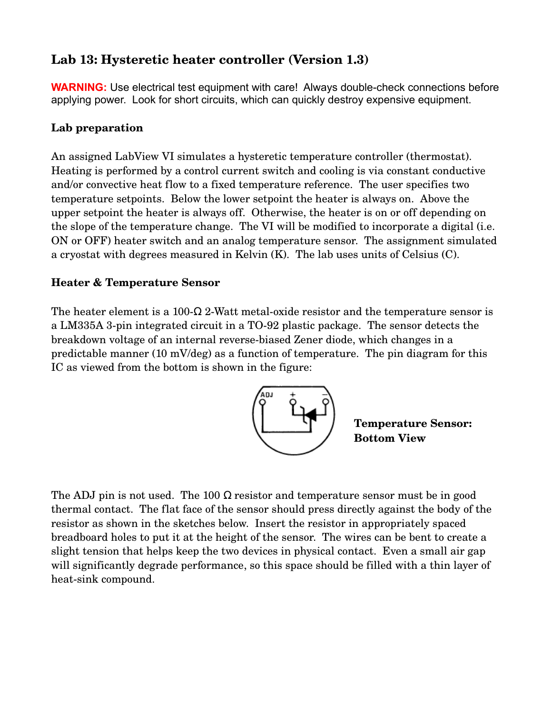# **Lab 13: Hysteretic heater controller (Version 1.3)**

**WARNING:** Use electrical test equipment with care! Always double-check connections before applying power. Look for short circuits, which can quickly destroy expensive equipment.

# **Lab preparation**

An assigned LabView VI simulates a hysteretic temperature controller (thermostat). Heating is performed by a control current switch and cooling is via constant conductive and/or convective heat flow to a fixed temperature reference. The user specifies two temperature setpoints. Below the lower setpoint the heater is always on. Above the upper setpoint the heater is always off. Otherwise, the heater is on or off depending on the slope of the temperature change. The VI will be modified to incorporate a digital (i.e. ON or OFF) heater switch and an analog temperature sensor. The assignment simulated a cryostat with degrees measured in Kelvin (K). The lab uses units of Celsius (C).

## **Heater & Temperature Sensor**

The heater element is a 100- $\Omega$  2-Watt metal-oxide resistor and the temperature sensor is a LM335A 3-pin integrated circuit in a TO-92 plastic package. The sensor detects the breakdown voltage of an internal reversebiased Zener diode, which changes in a predictable manner (10 mV/deg) as a function of temperature. The pin diagram for this IC as viewed from the bottom is shown in the figure:



**Temperature Sensor: Bottom View**

The ADJ pin is not used. The 100  $\Omega$  resistor and temperature sensor must be in good thermal contact. The flat face of the sensor should press directly against the body of the resistor as shown in the sketches below. Insert the resistor in appropriately spaced breadboard holes to put it at the height of the sensor. The wires can be bent to create a slight tension that helps keep the two devices in physical contact. Even a small air gap will significantly degrade performance, so this space should be filled with a thin layer of heat-sink compound.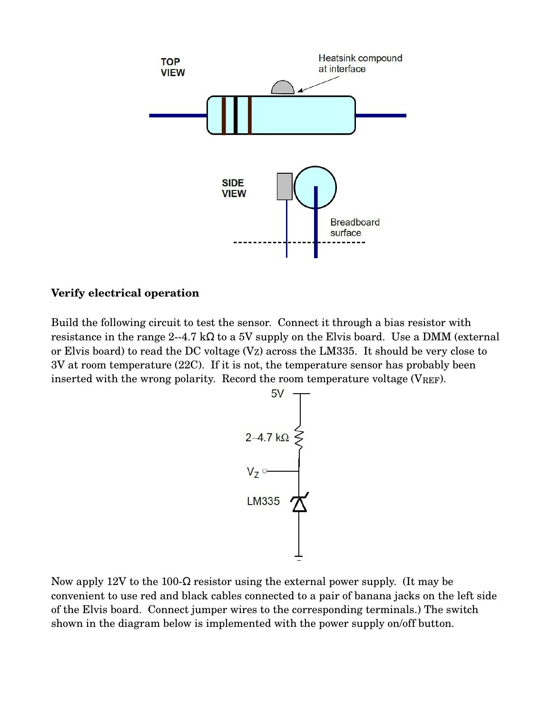

#### **Verify electrical operation**

Build the following circuit to test the sensor. Connect it through a bias resistor with resistance in the range 2--4.7 kΩ to a 5V supply on the Elvis board. Use a DMM (external or Elvis board) to read the DC voltage  $(V_Z)$  across the LM335. It should be very close to 3V at room temperature (22C). If it is not, the temperature sensor has probably been inserted with the wrong polarity. Record the room temperature voltage ( $V_{REF}$ ).



Now apply 12V to the 100- $\Omega$  resistor using the external power supply. (It may be convenient to use red and black cables connected to a pair of banana jacks on the left side of the Elvis board. Connect jumper wires to the corresponding terminals.) The switch shown in the diagram below is implemented with the power supply on/off button.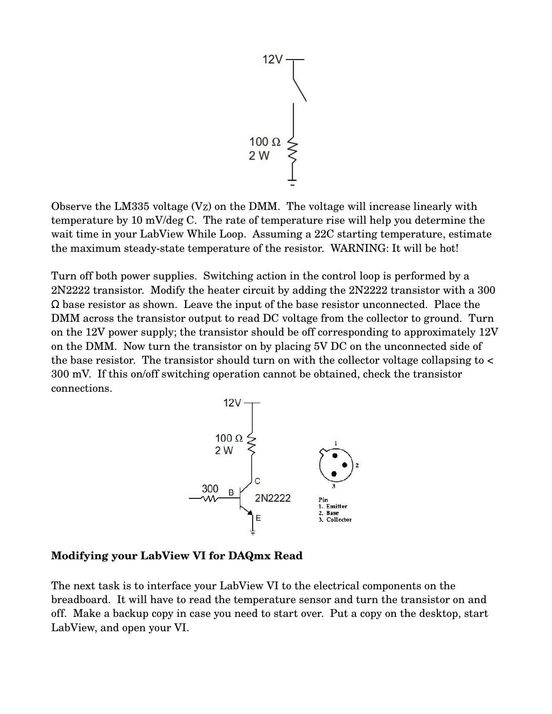

Observe the LM335 voltage  $(V_Z)$  on the DMM. The voltage will increase linearly with temperature by 10 mV/deg C. The rate of temperature rise will help you determine the wait time in your LabView While Loop. Assuming a 22C starting temperature, estimate the maximum steady-state temperature of the resistor. WARNING: It will be hot!

Turn off both power supplies. Switching action in the control loop is performed by a 2N2222 transistor. Modify the heater circuit by adding the 2N2222 transistor with a 300  $\Omega$  base resistor as shown. Leave the input of the base resistor unconnected. Place the DMM across the transistor output to read DC voltage from the collector to ground. Turn on the 12V power supply; the transistor should be off corresponding to approximately 12V on the DMM. Now turn the transistor on by placing 5V DC on the unconnected side of the base resistor. The transistor should turn on with the collector voltage collapsing to < 300 mV. If this on/off switching operation cannot be obtained, check the transistor connections.



#### **Modifying your LabView VI for DAQmx Read**

The next task is to interface your LabView VI to the electrical components on the breadboard. It will have to read the temperature sensor and turn the transistor on and off. Make a backup copy in case you need to start over. Put a copy on the desktop, start LabView, and open your VI.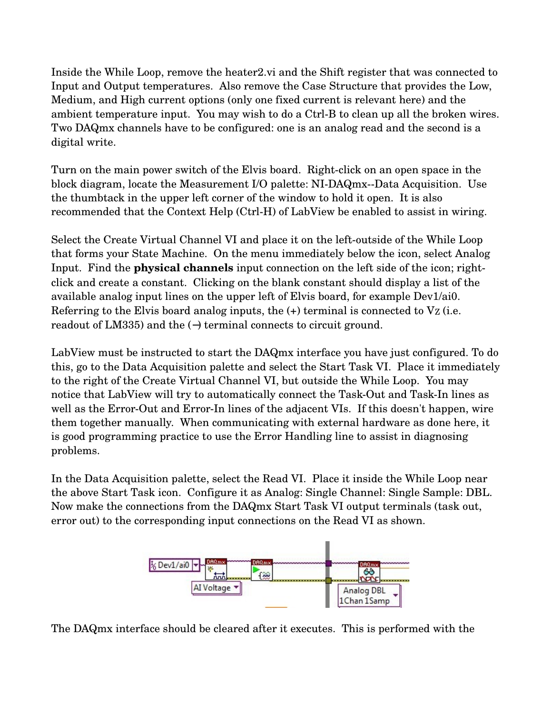Inside the While Loop, remove the heater2.vi and the Shift register that was connected to Input and Output temperatures. Also remove the Case Structure that provides the Low, Medium, and High current options (only one fixed current is relevant here) and the ambient temperature input. You may wish to do a Ctrl-B to clean up all the broken wires. Two DAQmx channels have to be configured: one is an analog read and the second is a digital write.

Turn on the main power switch of the Elvis board. Right-click on an open space in the block diagram, locate the Measurement I/O palette: NI-DAQmx--Data Acquisition. Use the thumbtack in the upper left corner of the window to hold it open. It is also recommended that the Context Help (Ctrl-H) of LabView be enabled to assist in wiring.

Select the Create Virtual Channel VI and place it on the left-outside of the While Loop that forms your State Machine. On the menu immediately below the icon, select Analog Input. Find the **physical channels** input connection on the left side of the icon; rightclick and create a constant. Clicking on the blank constant should display a list of the available analog input lines on the upper left of Elvis board, for example Dev1/ai0. Referring to the Elvis board analog inputs, the  $(+)$  terminal is connected to  $V_Z$  (i.e. readout of LM335) and the (−) terminal connects to circuit ground.

LabView must be instructed to start the DAQmx interface you have just configured. To do this, go to the Data Acquisition palette and select the Start Task VI. Place it immediately to the right of the Create Virtual Channel VI, but outside the While Loop. You may notice that LabView will try to automatically connect the Task-Out and Task-In lines as well as the Error-Out and Error-In lines of the adjacent VIs. If this doesn't happen, wire them together manually. When communicating with external hardware as done here, it is good programming practice to use the Error Handling line to assist in diagnosing problems.

In the Data Acquisition palette, select the Read VI. Place it inside the While Loop near the above Start Task icon. Configure it as Analog: Single Channel: Single Sample: DBL. Now make the connections from the DAQmx Start Task VI output terminals (task out, error out) to the corresponding input connections on the Read VI as shown.



The DAQmx interface should be cleared after it executes. This is performed with the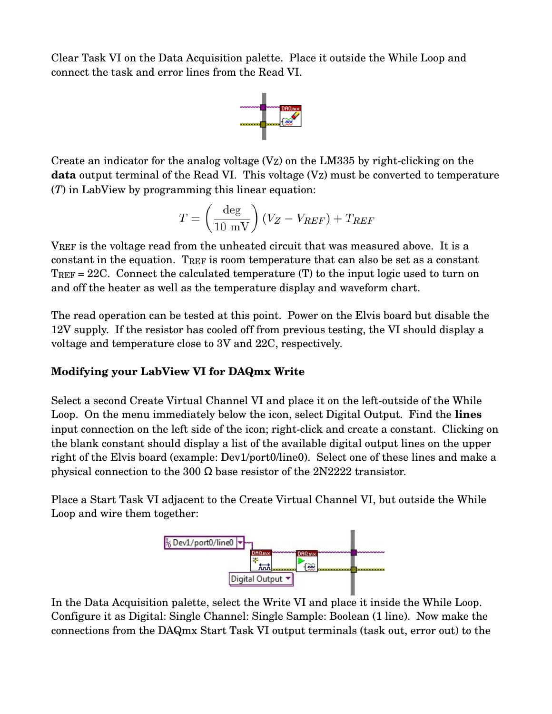Clear Task VI on the Data Acquisition palette. Place it outside the While Loop and connect the task and error lines from the Read VI.



Create an indicator for the analog voltage  $(V_Z)$  on the LM335 by right-clicking on the **data** output terminal of the Read VI. This voltage  $(V_Z)$  must be converted to temperature (*T*) in LabView by programming this linear equation:

$$
T = \left(\frac{\text{deg}}{10 \text{ mV}}\right)(V_Z - V_{REF}) + T_{REF}
$$

VREF is the voltage read from the unheated circuit that was measured above. It is a constant in the equation. TREF is room temperature that can also be set as a constant TREF = 22C. Connect the calculated temperature (T) to the input logic used to turn on and off the heater as well as the temperature display and waveform chart.

The read operation can be tested at this point. Power on the Elvis board but disable the 12V supply. If the resistor has cooled off from previous testing, the VI should display a voltage and temperature close to 3V and 22C, respectively.

### **Modifying your LabView VI for DAQmx Write**

Select a second Create Virtual Channel VI and place it on the left-outside of the While Loop. On the menu immediately below the icon, select Digital Output. Find the **lines** input connection on the left side of the icon; right-click and create a constant. Clicking on the blank constant should display a list of the available digital output lines on the upper right of the Elvis board (example: Dev1/port0/line0). Select one of these lines and make a physical connection to the 300  $\Omega$  base resistor of the 2N2222 transistor.

Place a Start Task VI adjacent to the Create Virtual Channel VI, but outside the While Loop and wire them together:



In the Data Acquisition palette, select the Write VI and place it inside the While Loop. Configure it as Digital: Single Channel: Single Sample: Boolean (1 line). Now make the connections from the DAQmx Start Task VI output terminals (task out, error out) to the